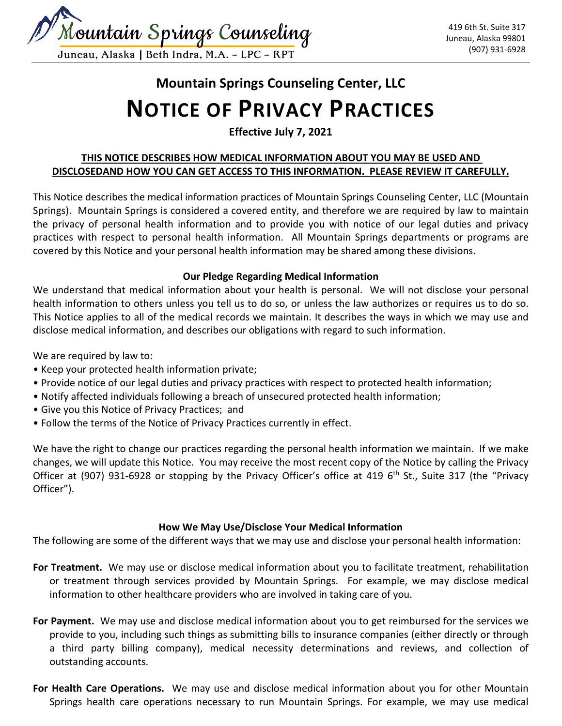

# **Mountain Springs Counseling Center, LLC NOTICE OF PRIVACY PRACTICES**

**Effective July 7, 2021**

# **THIS NOTICE DESCRIBES HOW MEDICAL INFORMATION ABOUT YOU MAY BE USED AND DISCLOSEDAND HOW YOU CAN GET ACCESS TO THIS INFORMATION. PLEASE REVIEW IT CAREFULLY.**

This Notice describes the medical information practices of Mountain Springs Counseling Center, LLC (Mountain Springs). Mountain Springs is considered a covered entity, and therefore we are required by law to maintain the privacy of personal health information and to provide you with notice of our legal duties and privacy practices with respect to personal health information. All Mountain Springs departments or programs are covered by this Notice and your personal health information may be shared among these divisions.

# **Our Pledge Regarding Medical Information**

We understand that medical information about your health is personal. We will not disclose your personal health information to others unless you tell us to do so, or unless the law authorizes or requires us to do so. This Notice applies to all of the medical records we maintain. It describes the ways in which we may use and disclose medical information, and describes our obligations with regard to such information.

We are required by law to:

- Keep your protected health information private;
- Provide notice of our legal duties and privacy practices with respect to protected health information;
- Notify affected individuals following a breach of unsecured protected health information;
- Give you this Notice of Privacy Practices; and
- Follow the terms of the Notice of Privacy Practices currently in effect.

We have the right to change our practices regarding the personal health information we maintain. If we make changes, we will update this Notice. You may receive the most recent copy of the Notice by calling the Privacy Officer at (907) 931-6928 or stopping by the Privacy Officer's office at 419  $6<sup>th</sup>$  St., Suite 317 (the "Privacy Officer").

# **How We May Use/Disclose Your Medical Information**

The following are some of the different ways that we may use and disclose your personal health information:

- **For Treatment.** We may use or disclose medical information about you to facilitate treatment, rehabilitation or treatment through services provided by Mountain Springs. For example, we may disclose medical information to other healthcare providers who are involved in taking care of you.
- **For Payment.** We may use and disclose medical information about you to get reimbursed for the services we provide to you, including such things as submitting bills to insurance companies (either directly or through a third party billing company), medical necessity determinations and reviews, and collection of outstanding accounts.
- **For Health Care Operations.** We may use and disclose medical information about you for other Mountain Springs health care operations necessary to run Mountain Springs. For example, we may use medical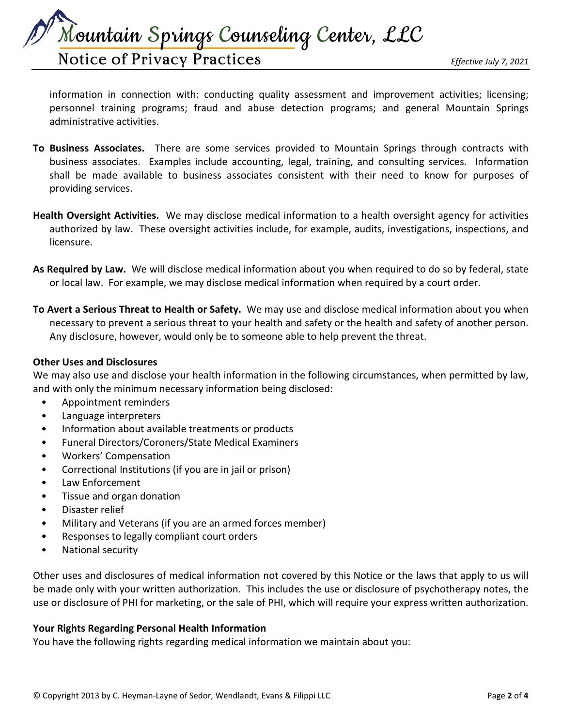Mountain Springs Counseling Center, LLC

# Notice of Privacy Practices *Effective July 7, 2021*

information in connection with: conducting quality assessment and improvement activities; licensing; personnel training programs; fraud and abuse detection programs; and general Mountain Springs administrative activities.

- **To Business Associates.** There are some services provided to Mountain Springs through contracts with business associates. Examples include accounting, legal, training, and consulting services. Information shall be made available to business associates consistent with their need to know for purposes of providing services.
- **Health Oversight Activities.** We may disclose medical information to a health oversight agency for activities authorized by law. These oversight activities include, for example, audits, investigations, inspections, and licensure.
- **As Required by Law.** We will disclose medical information about you when required to do so by federal, state or local law. For example, we may disclose medical information when required by a court order.
- **To Avert a Serious Threat to Health or Safety.** We may use and disclose medical information about you when necessary to prevent a serious threat to your health and safety or the health and safety of another person. Any disclosure, however, would only be to someone able to help prevent the threat.

#### **Other Uses and Disclosures**

We may also use and disclose your health information in the following circumstances, when permitted by law, and with only the minimum necessary information being disclosed:

- Appointment reminders
- Language interpreters
- Information about available treatments or products
- Funeral Directors/Coroners/State Medical Examiners
- Workers' Compensation
- Correctional Institutions (if you are in jail or prison)
- Law Enforcement
- Tissue and organ donation
- Disaster relief
- Military and Veterans (if you are an armed forces member)
- Responses to legally compliant court orders
- National security

Other uses and disclosures of medical information not covered by this Notice or the laws that apply to us will be made only with your written authorization. This includes the use or disclosure of psychotherapy notes, the use or disclosure of PHI for marketing, or the sale of PHI, which will require your express written authorization.

#### **Your Rights Regarding Personal Health Information**

You have the following rights regarding medical information we maintain about you: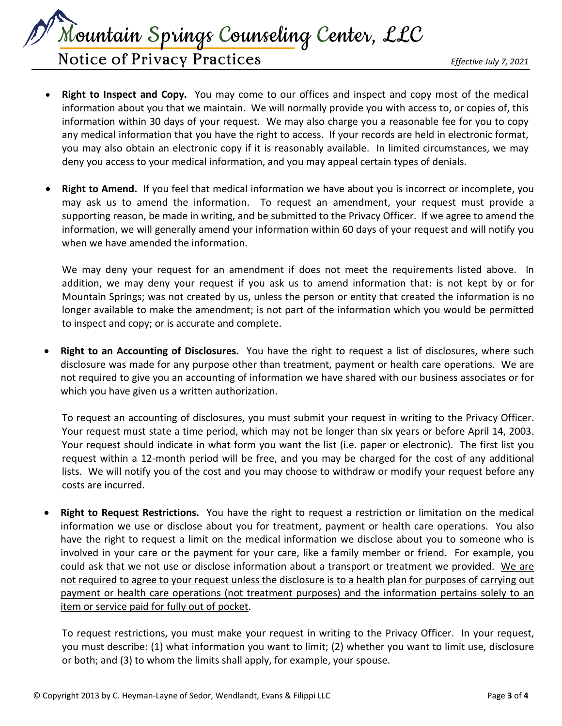Mountain Springs Counseling Center, LLC

Notice of Privacy Practices *Effective July 7, 2021*

- **Right to Inspect and Copy.** You may come to our offices and inspect and copy most of the medical information about you that we maintain. We will normally provide you with access to, or copies of, this information within 30 days of your request. We may also charge you a reasonable fee for you to copy any medical information that you have the right to access. If your records are held in electronic format, you may also obtain an electronic copy if it is reasonably available. In limited circumstances, we may deny you access to your medical information, and you may appeal certain types of denials.
- **Right to Amend.** If you feel that medical information we have about you is incorrect or incomplete, you may ask us to amend the information. To request an amendment, your request must provide a supporting reason, be made in writing, and be submitted to the Privacy Officer. If we agree to amend the information, we will generally amend your information within 60 days of your request and will notify you when we have amended the information.

We may deny your request for an amendment if does not meet the requirements listed above. In addition, we may deny your request if you ask us to amend information that: is not kept by or for Mountain Springs; was not created by us, unless the person or entity that created the information is no longer available to make the amendment; is not part of the information which you would be permitted to inspect and copy; or is accurate and complete.

• **Right to an Accounting of Disclosures.** You have the right to request a list of disclosures, where such disclosure was made for any purpose other than treatment, payment or health care operations. We are not required to give you an accounting of information we have shared with our business associates or for which you have given us a written authorization.

To request an accounting of disclosures, you must submit your request in writing to the Privacy Officer. Your request must state a time period, which may not be longer than six years or before April 14, 2003. Your request should indicate in what form you want the list (i.e. paper or electronic). The first list you request within a 12-month period will be free, and you may be charged for the cost of any additional lists. We will notify you of the cost and you may choose to withdraw or modify your request before any costs are incurred.

• **Right to Request Restrictions.** You have the right to request a restriction or limitation on the medical information we use or disclose about you for treatment, payment or health care operations. You also have the right to request a limit on the medical information we disclose about you to someone who is involved in your care or the payment for your care, like a family member or friend. For example, you could ask that we not use or disclose information about a transport or treatment we provided. We are not required to agree to your request unless the disclosure is to a health plan for purposes of carrying out payment or health care operations (not treatment purposes) and the information pertains solely to an item or service paid for fully out of pocket.

To request restrictions, you must make your request in writing to the Privacy Officer. In your request, you must describe: (1) what information you want to limit; (2) whether you want to limit use, disclosure or both; and (3) to whom the limits shall apply, for example, your spouse.